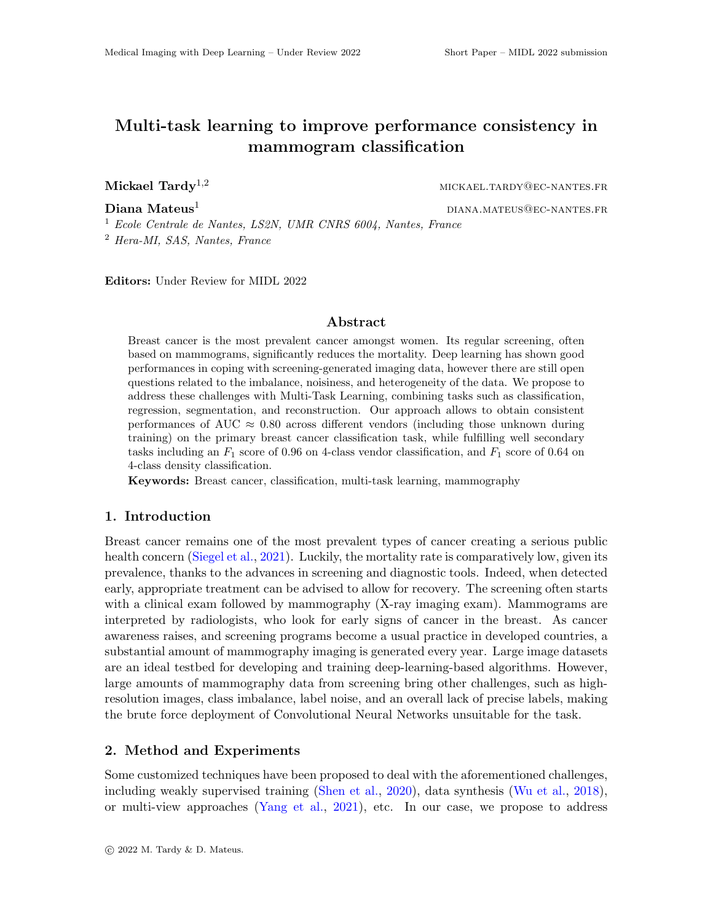# Multi-task learning to improve performance consistency in mammogram classification

Mickael  $\text{Tardy}^{1,2}$  mickael.tardy@ec-nantes.fr

**Diana Mateus**<sup>1</sup> diana menggalamkan dianang dianang personal dianang personal diana menggalamkan personal dianah

<sup>1</sup> Ecole Centrale de Nantes, LS2N, UMR CNRS 6004, Nantes, France <sup>2</sup> Hera-MI, SAS, Nantes, France

Editors: Under Review for MIDL 2022

#### Abstract

Breast cancer is the most prevalent cancer amongst women. Its regular screening, often based on mammograms, significantly reduces the mortality. Deep learning has shown good performances in coping with screening-generated imaging data, however there are still open questions related to the imbalance, noisiness, and heterogeneity of the data. We propose to address these challenges with Multi-Task Learning, combining tasks such as classification, regression, segmentation, and reconstruction. Our approach allows to obtain consistent performances of AUC  $\approx 0.80$  across different vendors (including those unknown during training) on the primary breast cancer classification task, while fulfilling well secondary tasks including an  $F_1$  score of 0.96 on 4-class vendor classification, and  $F_1$  score of 0.64 on 4-class density classification.

Keywords: Breast cancer, classification, multi-task learning, mammography

#### 1. Introduction

Breast cancer remains one of the most prevalent types of cancer creating a serious public health concern [\(Siegel et al.,](#page-2-0) [2021\)](#page-2-0). Luckily, the mortality rate is comparatively low, given its prevalence, thanks to the advances in screening and diagnostic tools. Indeed, when detected early, appropriate treatment can be advised to allow for recovery. The screening often starts with a clinical exam followed by mammography (X-ray imaging exam). Mammograms are interpreted by radiologists, who look for early signs of cancer in the breast. As cancer awareness raises, and screening programs become a usual practice in developed countries, a substantial amount of mammography imaging is generated every year. Large image datasets are an ideal testbed for developing and training deep-learning-based algorithms. However, large amounts of mammography data from screening bring other challenges, such as highresolution images, class imbalance, label noise, and an overall lack of precise labels, making the brute force deployment of Convolutional Neural Networks unsuitable for the task.

#### 2. Method and Experiments

Some customized techniques have been proposed to deal with the aforementioned challenges, including weakly supervised training [\(Shen et al.,](#page-2-1) [2020\)](#page-2-1), data synthesis [\(Wu et al.,](#page-2-2) [2018\)](#page-2-2), or multi-view approaches [\(Yang et al.,](#page-2-3) [2021\)](#page-2-3), etc. In our case, we propose to address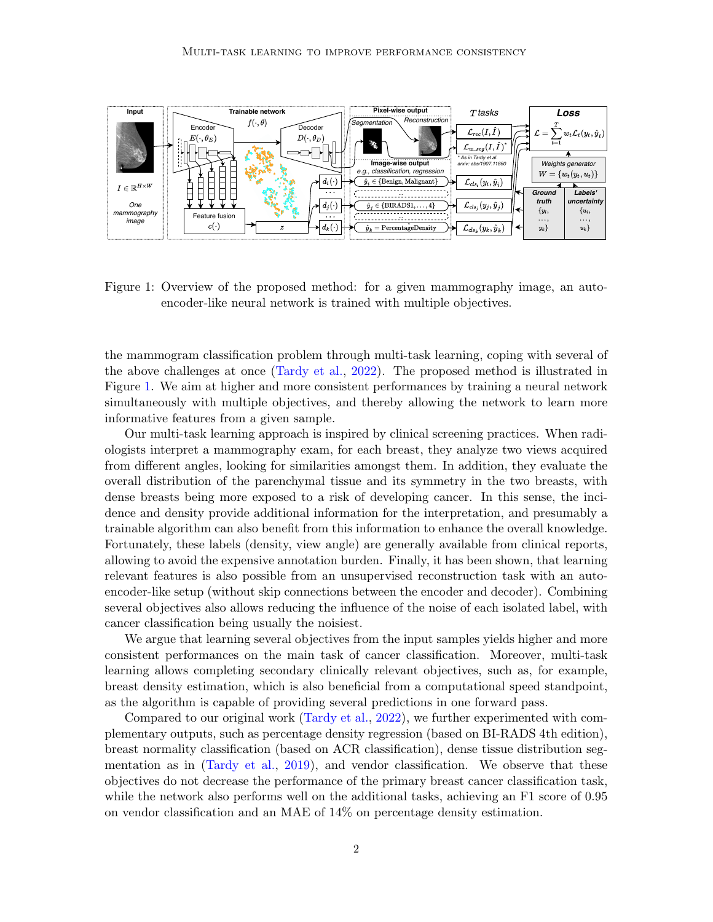

<span id="page-1-0"></span>Figure 1: Overview of the proposed method: for a given mammography image, an autoencoder-like neural network is trained with multiple objectives.

the mammogram classification problem through multi-task learning, coping with several of the above challenges at once [\(Tardy et al.,](#page-2-4) [2022\)](#page-2-4). The proposed method is illustrated in Figure [1.](#page-1-0) We aim at higher and more consistent performances by training a neural network simultaneously with multiple objectives, and thereby allowing the network to learn more informative features from a given sample.

*e.g., classification, regression*<br>  $\frac{\hat{y}_i \in \{\text{BERADS1}, \dots, \text{4}\} \cdot \text{5}}{\hat{y}_j \in \{\text{BERADS1}, \dots, \text{4}\} \cdot \text{5}}$ <br>  $\frac{\hat{y}_j \in \{\text{BIRADS1}, \dots, \text{4}\} \cdot \text{5}}{\hat{y}_j \in \{\text{BIRADS1}, \dots, \text{4}\} \cdot \text{5}}$ <br>  $\frac{\hat{y}_j \in \{\text{BIRADS1}, \dots, \text{4}\} \cdot \text{5}}$ Our multi-task learning approach is inspired by clinical screening practices. When radiologists interpret a mammography exam, for each breast, they analyze two views acquired from different angles, looking for similarities amongst them. In addition, they evaluate the overall distribution of the parenchymal tissue and its symmetry in the two breasts, with dense breasts being more exposed to a risk of developing cancer. In this sense, the incidence and density provide additional information for the interpretation, and presumably a trainable algorithm can also benefit from this information to enhance the overall knowledge. Fortunately, these labels (density, view angle) are generally available from clinical reports, allowing to avoid the expensive annotation burden. Finally, it has been shown, that learning relevant features is also possible from an unsupervised reconstruction task with an autoencoder-like setup (without skip connections between the encoder and decoder). Combining several objectives also allows reducing the influence of the noise of each isolated label, with cancer classification being usually the noisiest.

We argue that learning several objectives from the input samples yields higher and more consistent performances on the main task of cancer classification. Moreover, multi-task learning allows completing secondary clinically relevant objectives, such as, for example, breast density estimation, which is also beneficial from a computational speed standpoint, as the algorithm is capable of providing several predictions in one forward pass.

Compared to our original work [\(Tardy et al.,](#page-2-4) 2022), we further experimented with complementary outputs, such as percentage density regression (based on BI-RADS 4th edition), breast normality classification (based on ACR classification), dense tissue distribution segmentation as in [\(Tardy et al.,](#page-2-5) [2019\)](#page-2-5), and vendor classification. We observe that these objectives do not decrease the performance of the primary breast cancer classification task, while the network also performs well on the additional tasks, achieving an F1 score of 0.95 on vendor classification and an MAE of 14% on percentage density estimation.